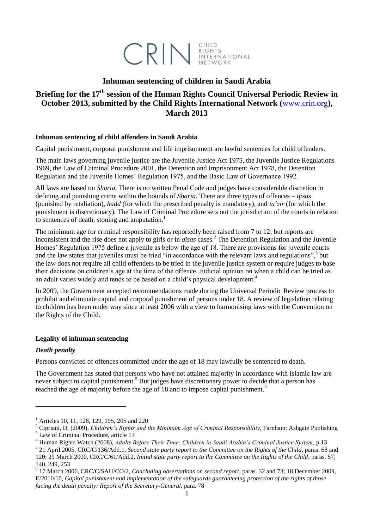

## **Inhuman sentencing of children in Saudi Arabia**

# **Briefing for the 17th session of the Human Rights Council Universal Periodic Review in October 2013, submitted by the Child Rights International Network (**[www.crin.org](http://www.crin.org/)**), March 2013**

#### **Inhuman sentencing of child offenders in Saudi Arabia**

Capital punishment, corporal punishment and life imprisonment are lawful sentences for child offenders.

The main laws governing juvenile justice are the Juvenile Justice Act 1975, the Juvenile Justice Regulations 1969, the Law of Criminal Procedure 2001, the Detention and Imprisonment Act 1978, the Detention Regulation and the Juvenile Homes' Regulation 1975, and the Basic Law of Governance 1992.

All laws are based on *Sharia*. There is no written Penal Code and judges have considerable discretion in defining and punishing crime within the bounds of *Sharia*. There are three types of offences – *qisas* (punished by retaliation), *hadd* (for which the prescribed penalty is mandatory), and *ta'zir* (for which the punishment is discretionary). The Law of Criminal Procedure sets out the jurisdiction of the courts in relation to sentences of death, stoning and amputation.<sup>1</sup>

The minimum age for criminal responsibility has reportedly been raised from 7 to 12, but reports are inconsistent and the rise does not apply to girls or in *qisas* cases.<sup>2</sup> The Detention Regulation and the Juvenile Homes' Regulation 1975 define a juvenile as below the age of 18. There are provisions for juvenile courts and the law states that juveniles must be tried "in accordance with the relevant laws and regulations",<sup>3</sup> but the law does not require all child offenders to be tried in the juvenile justice system or require judges to base their decisions on children's age at the time of the offence. Judicial opinion on when a child can be tried as an adult varies widely and tends to be based on a child's physical development.<sup>4</sup>

In 2009, the Government accepted recommendations made during the Universal Periodic Review process to prohibit and eliminate capital and corporal punishment of persons under 18. A review of legislation relating to children has been under way since at least 2006 with a view to harmonising laws with the Convention on the Rights of the Child.

### **Legality of inhuman sentencing**

#### *Death penalty*

**.** 

Persons convicted of offences committed under the age of 18 may lawfully be sentenced to death.

The Government has stated that persons who have not attained majority in accordance with Islamic law are never subject to capital punishment.<sup>5</sup> But judges have discretionary power to decide that a person has reached the age of majority before the age of 18 and to impose capital punishment.<sup>6</sup>

5 21 April 2005, CRC/C/136/Add.1, *Second state party report to the Committee on the Rights of the Child*, paras. 68 and 120; 29 March 2000, CRC/C/61/Add.2, *Initial state party report to the Committee on the Rights of the Child*, paras. 57, 140, 249, 253

<sup>&</sup>lt;sup>1</sup> Articles 10, 11, 128, 129, 195, 205 and 220

<sup>2</sup> Cipriani, D. (2009), *Children's Rights and the Minimum Age of Criminal Responsibility*, Farnham: Ashgate Publishing <sup>3</sup> Law of Criminal Procedure, article 13

<sup>4</sup> Human Rights Watch (2008), *Adults Before Their Time: Children in Saudi Arabia's Criminal Justice System*, p.13

<sup>6</sup> 17 March 2006, CRC/C/SAU/CO/2, *Concluding observations on second report*, paras. 32 and 73; 18 December 2009, E/2010/10, *Capital punishment and implementation of the safeguards guaranteeing protection of the rights of those facing the death penalty: Report of the Secretary-General*, para. 78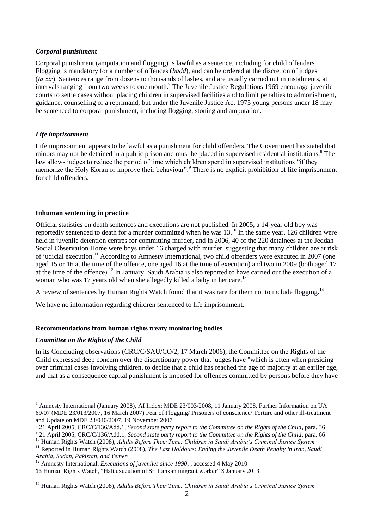#### *Corporal punishment*

Corporal punishment (amputation and flogging) is lawful as a sentence, including for child offenders. Flogging is mandatory for a number of offences (*hadd*), and can be ordered at the discretion of judges (*ta'zir*). Sentences range from dozens to thousands of lashes, and are usually carried out in instalments, at intervals ranging from two weeks to one month.<sup>7</sup> The Juvenile Justice Regulations 1969 encourage juvenile courts to settle cases without placing children in supervised facilities and to limit penalties to admonishment, guidance, counselling or a reprimand, but under the Juvenile Justice Act 1975 young persons under 18 may be sentenced to corporal punishment, including flogging, stoning and amputation.

### *Life imprisonment*

Life imprisonment appears to be lawful as a punishment for child offenders. The Government has stated that minors may not be detained in a public prison and must be placed in supervised residential institutions.<sup>8</sup> The law allows judges to reduce the period of time which children spend in supervised institutions "if they memorize the Holy Koran or improve their behaviour".<sup>9</sup> There is no explicit prohibition of life imprisonment for child offenders.

#### **Inhuman sentencing in practice**

Official statistics on death sentences and executions are not published. In 2005, a 14-year old boy was reportedly sentenced to death for a murder committed when he was 13.<sup>10</sup> In the same year, 126 children were held in juvenile detention centres for committing murder, and in 2006, 40 of the 220 detainees at the Jeddah Social Observation Home were boys under 16 charged with murder, suggesting that many children are at risk of judicial execution.<sup>11</sup> According to Amnesty International, two child offenders were executed in 2007 (one aged 15 or 16 at the time of the offence, one aged 16 at the time of execution) and two in 2009 (both aged 17 at the time of the offence).<sup>12</sup> In January, Saudi Arabia is also reported to have carried out the execution of a woman who was 17 years old when she allegedly killed a baby in her care.<sup>13</sup>

A review of sentences by Human Rights Watch found that it was rare for them not to include flogging.<sup>14</sup>

We have no information regarding children sentenced to life imprisonment.

### **Recommendations from human rights treaty monitoring bodies**

#### *Committee on the Rights of the Child*

**.** 

In its Concluding observations (CRC/C/SAU/CO/2, 17 March 2006), the Committee on the Rights of the Child expressed deep concern over the discretionary power that judges have "which is often when presiding over criminal cases involving children, to decide that a child has reached the age of majority at an earlier age, and that as a consequence capital punishment is imposed for offences committed by persons before they have

<sup>7</sup> Amnesty International (January 2008), AI Index: MDE 23/003/2008, 11 January 2008, Further Information on UA 69/07 (MDE 23/013/2007, 16 March 2007) Fear of Flogging/ Prisoners of conscience/ Torture and other ill-treatment and Update on MDE 23/040/2007, 19 November 2007

<sup>8</sup> 21 April 2005, CRC/C/136/Add.1, *Second state party report to the Committee on the Rights of the Child*, para. 36

<sup>&</sup>lt;sup>9</sup> 21 April 2005, CRC/C/136/Add.1, *Second state party report to the Committee on the Rights of the Child*, para. 66

<sup>10</sup> Human Rights Watch (2008), *Adults Before Their Time: Children in Saudi Arabia's Criminal Justice System*

<sup>&</sup>lt;sup>11</sup> Reported in Human Rights Watch (2008), *The Last Holdouts: Ending the Juvenile Death Penalty in Iran, Saudi Arabia, Sudan, Pakistan, and Yemen*

<sup>&</sup>lt;sup>12</sup> Amnesty International, *Executions of juveniles since 1990*, , accessed 4 May 2010

<sup>13</sup> Human Rights Watch, "Halt execution of Sri Lankan migrant worker" 8 January 2013

<sup>14</sup> Human Rights Watch (2008), *Adults Before Their Time: Children in Saudi Arabia's Criminal Justice System*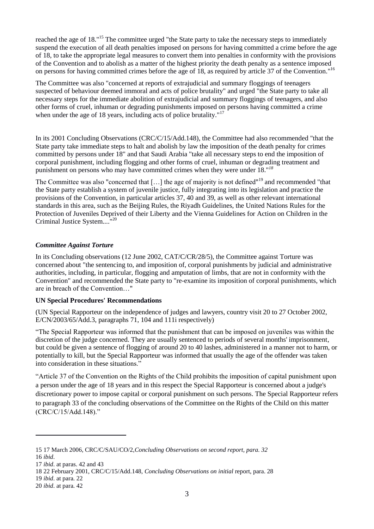reached the age of 18."<sup>15</sup> The committee urged "the State party to take the necessary steps to immediately suspend the execution of all death penalties imposed on persons for having committed a crime before the age of 18, to take the appropriate legal measures to convert them into penalties in conformity with the provisions of the Convention and to abolish as a matter of the highest priority the death penalty as a sentence imposed on persons for having committed crimes before the age of 18, as required by article 37 of the Convention."<sup>16</sup>

The Committee was also "concerned at reports of extrajudicial and summary floggings of teenagers suspected of behaviour deemed immoral and acts of police brutality" and urged "the State party to take all necessary steps for the immediate abolition of extrajudicial and summary floggings of teenagers, and also other forms of cruel, inhuman or degrading punishments imposed on persons having committed a crime when under the age of 18 years, including acts of police brutality."<sup>17</sup>

In its 2001 Concluding Observations (CRC/C/15/Add.148), the Committee had also recommended "that the State party take immediate steps to halt and abolish by law the imposition of the death penalty for crimes committed by persons under 18" and that Saudi Arabia "take all necessary steps to end the imposition of corporal punishment, including flogging and other forms of cruel, inhuman or degrading treatment and punishment on persons who may have committed crimes when they were under 18."*<sup>18</sup>*

The Committee was also "concerned that [...] the age of majority is not defined"<sup>19</sup> and recommended "that the State party establish a system of juvenile justice, fully integrating into its legislation and practice the provisions of the Convention, in particular articles 37, 40 and 39, as well as other relevant international standards in this area, such as the Beijing Rules, the Riyadh Guidelines, the United Nations Rules for the Protection of Juveniles Deprived of their Liberty and the Vienna Guidelines for Action on Children in the Criminal Justice System....<sup>"20</sup>

### *Committee Against Torture*

In its Concluding observations (12 June 2002, CAT/C/CR/28/5), the Committee against Torture was concerned about "the sentencing to, and imposition of, corporal punishments by judicial and administrative authorities, including, in particular, flogging and amputation of limbs, that are not in conformity with the Convention" and recommended the State party to "re-examine its imposition of corporal punishments, which are in breach of the Convention…"

## **UN Special Procedures' Recommendations**

(UN Special Rapporteur on the independence of judges and lawyers, country visit 20 to 27 October 2002, E/CN/2003/65/Add.3, paragraphs 71, 104 and 111i respectively)

"The Special Rapporteur was informed that the punishment that can be imposed on juveniles was within the discretion of the judge concerned. They are usually sentenced to periods of several months' imprisonment, but could be given a sentence of flogging of around 20 to 40 lashes, administered in a manner not to harm, or potentially to kill, but the Special Rapporteur was informed that usually the age of the offender was taken into consideration in these situations."

"Article 37 of the Convention on the Rights of the Child prohibits the imposition of capital punishment upon a person under the age of 18 years and in this respect the Special Rapporteur is concerned about a judge's discretionary power to impose capital or corporal punishment on such persons. The Special Rapporteur refers to paragraph 33 of the concluding observations of the Committee on the Rights of the Child on this matter (CRC/C/15/Add.148)."

**.** 

<sup>15</sup> 17 March 2006, CRC/C/SAU/CO/2,*Concluding Observations on second report, para. 32*

<sup>16</sup> *ibid*.

<sup>17</sup> *ibid*. at paras. 42 and 43

<sup>18</sup> 22 February 2001, CRC/C/15/Add.148, *Concluding Observations on initial* report, para. 28

<sup>19</sup> *ibid*. at para. 22

<sup>20</sup> *ibid*. at para. 42